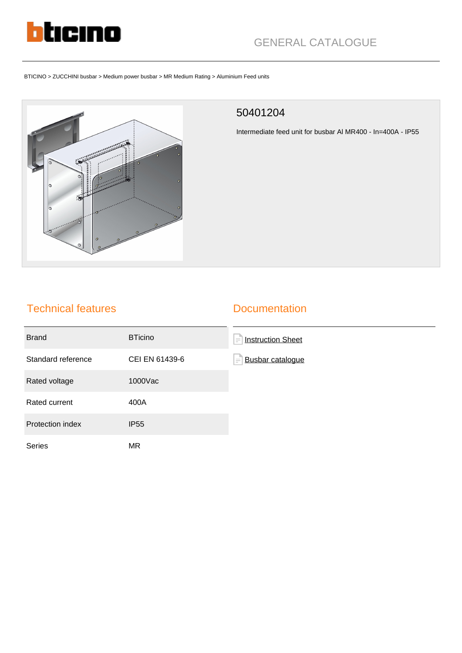

# GENERAL CATALOGUE

BTICINO > ZUCCHINI busbar > Medium power busbar > MR Medium Rating > Aluminium Feed units



### 50401204

Intermediate feed unit for busbar Al MR400 - In=400A - IP55

## Technical features

### **Documentation**

| <b>Brand</b>       | <b>BTicino</b> | <b>Instruction Sheet</b><br>íΞ      |
|--------------------|----------------|-------------------------------------|
| Standard reference | CEI EN 61439-6 | <b>Busbar catalogue</b><br>$\equiv$ |
| Rated voltage      | 1000Vac        |                                     |
| Rated current      | 400A           |                                     |
| Protection index   | <b>IP55</b>    |                                     |
| Series             | MR.            |                                     |